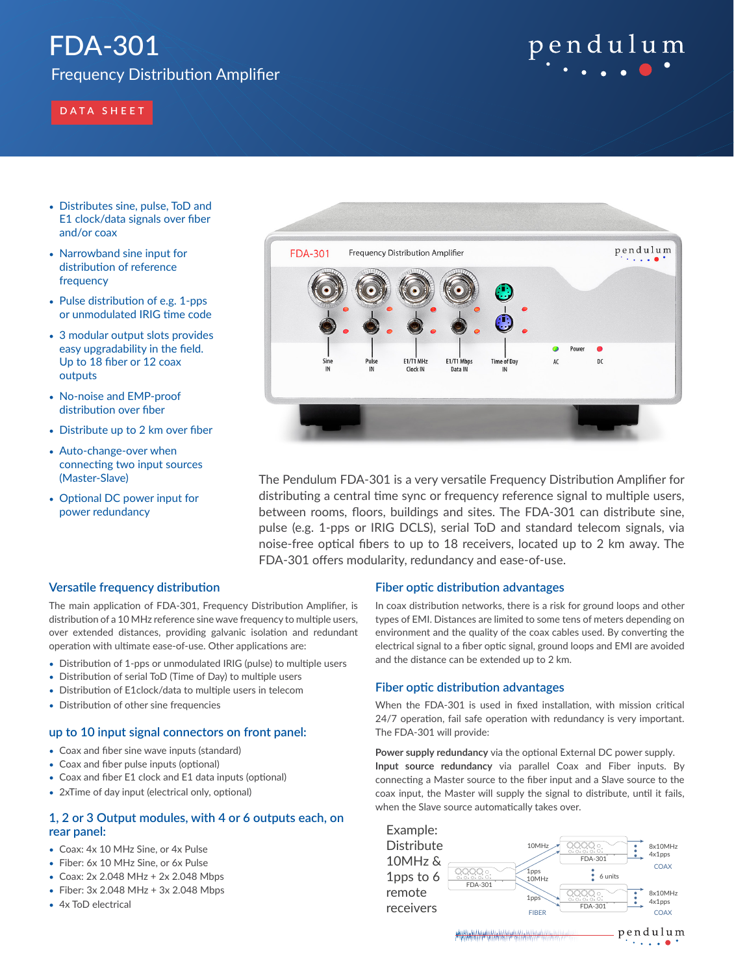# FDA-301

Frequency Distribution Amplifier

# **DATA SHEET**

- Distributes sine, pulse, ToD and E1 clock/data signals over fiber and/or coax
- Narrowband sine input for distribution of reference frequency
- Pulse distribution of e.g. 1-pps or unmodulated IRIG time code
- 3 modular output slots provides easy upgradability in the field. Up to 18 fiber or 12 coax outputs
- No-noise and EMP-proof distribution over fiber
- Distribute up to 2 km over fiber
- Auto-change-over when connecting two input sources (Master-Slave)
- Optional DC power input for power redundancy



pendulum

The Pendulum FDA-301 is a very versatile Frequency Distribution Amplifier for distributing a central time sync or frequency reference signal to multiple users, between rooms, floors, buildings and sites. The FDA-301 can distribute sine, pulse (e.g. 1-pps or IRIG DCLS), serial ToD and standard telecom signals, via noise-free optical fibers to up to 18 receivers, located up to 2 km away. The FDA-301 offers modularity, redundancy and ease-of-use.

# **Versatile frequency distribution**

The main application of FDA-301, Frequency Distribution Amplifier, is distribution of a 10 MHz reference sine wave frequency to multiple users, over extended distances, providing galvanic isolation and redundant operation with ultimate ease-of-use. Other applications are:

- Distribution of 1-pps or unmodulated IRIG (pulse) to multiple users
- Distribution of serial ToD (Time of Day) to multiple users
- Distribution of E1clock/data to multiple users in telecom
- Distribution of other sine frequencies

# **up to 10 input signal connectors on front panel:**

- Coax and fiber sine wave inputs (standard)
- Coax and fiber pulse inputs (optional)
- Coax and fiber E1 clock and E1 data inputs (optional)
- 2xTime of day input (electrical only, optional)

# **1, 2 or 3 Output modules, with 4 or 6 outputs each, on rear panel:**

- Coax: 4x 10 MHz Sine, or 4x Pulse
- Fiber: 6x 10 MHz Sine, or 6x Pulse
- Coax: 2x 2.048 MHz + 2x 2.048 Mbps
- Fiber: 3x 2.048 MHz + 3x 2.048 Mbps
- 4x ToD electrical

# **Fiber optic distribution advantages**

In coax distribution networks, there is a risk for ground loops and other types of EMI. Distances are limited to some tens of meters depending on environment and the quality of the coax cables used. By converting the electrical signal to a fiber optic signal, ground loops and EMI are avoided and the distance can be extended up to 2 km.

# **Fiber optic distribution advantages**

When the FDA-301 is used in fixed installation, with mission critical 24/7 operation, fail safe operation with redundancy is very important. The FDA-301 will provide:

**Power supply redundancy** via the optional External DC power supply. **Input source redundancy** via parallel Coax and Fiber inputs. By connecting a Master source to the fiber input and a Slave source to the coax input, the Master will supply the signal to distribute, until it fails, when the Slave source automatically takes over.